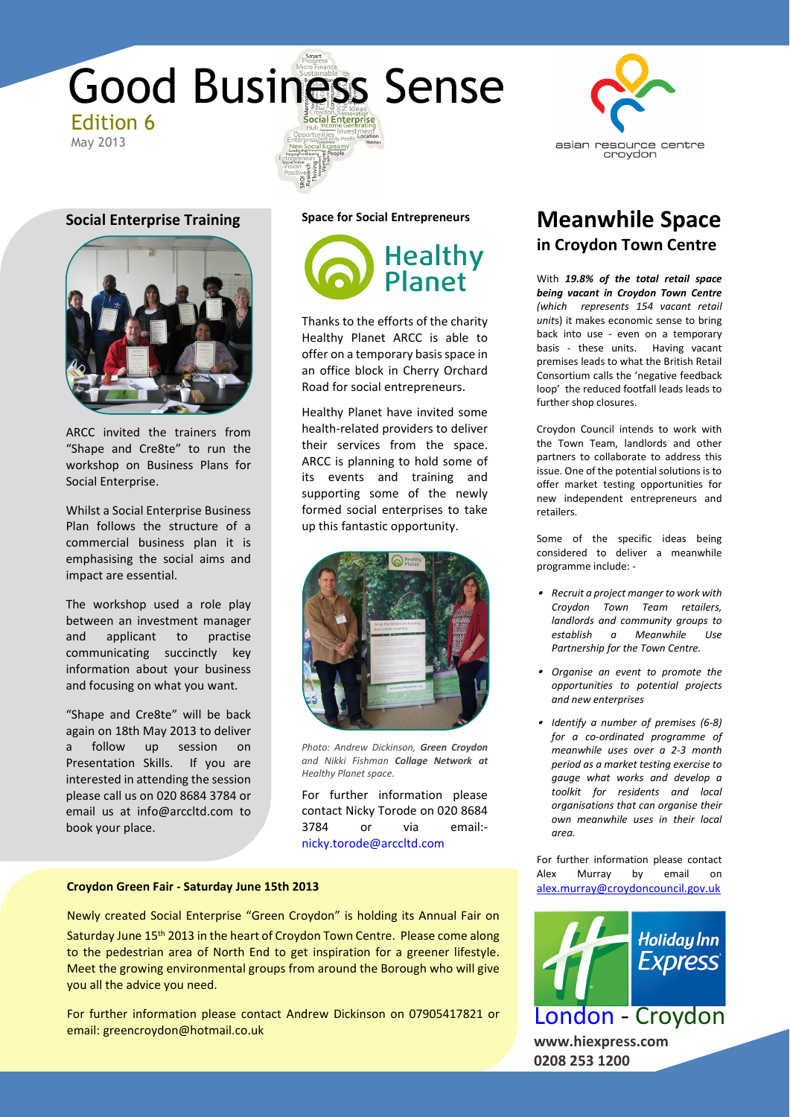





ARCC invited the trainers from "Shape and Cre8te" to run the workshop on Business Plans for Social Enterprise.

Whilst a Social Enterprise Business Plan follows the structure of a commercial business plan it is emphasising the social aims and impact are essential.

The workshop used a role play between an investment manager and applicant to practise communicating succinctly key information about your business and focusing on what you want.

"Shape and Cre8te" will be back again on 18th May 2013 to deliver a follow up session on Presentation Skills. If you are interested in attending the session please call us on 020 8684 3784 or email us at info@arccltd.com to book your place.

**Space for Social Entrepreneurs**



Thanks to the efforts of the charity Healthy Planet ARCC is able to offer on a temporary basis space in an office block in Cherry Orchard Road for social entrepreneurs.

Healthy Planet have invited some health-related providers to deliver their services from the space. ARCC is planning to hold some of its events and training and supporting some of the newly formed social enterprises to take up this fantastic opportunity.



*Photo: Andrew Dickinson, Green Croydon and Nikki Fishman Collage Network at Healthy Planet space.*

For further information please contact Nicky Torode on 020 8684 3784 or via email: nicky.torode@arccltd.com

## **Croydon Green Fair - Saturday June 15th 2013 alex.murray@croydoncouncil.gov.uk**

Newly created Social Enterprise "Green Croydon" is holding its Annual Fair on Saturday June 15<sup>th</sup> 2013 in the heart of Croydon Town Centre. Please come along to the pedestrian area of North End to get inspiration for a greener lifestyle. Meet the growing environmental groups from around the Borough who will give you all the advice you need.

For further information please contact Andrew Dickinson on 07905417821 or email: greencroydon@hotmail.co.uk



# **in Croydon Town Centre Meanwhile Space**

With *19.8% of the total retail space being vacant in Croydon Town Centre (which represents 154 vacant retail unit*s) it makes economic sense to bring back into use - even on a temporary basis - these units. Having vacant premises leads to what the British Retail Consortium calls the 'negative feedback loop' the reduced footfall leads leads to further shop closures.

Croydon Council intends to work with the Town Team, landlords and other partners to collaborate to address this issue. One of the potential solutions is to offer market testing opportunities for new independent entrepreneurs and retailers.

Some of the specific ideas being considered to deliver a meanwhile programme include: -

- *Recruit a project manger to work with Croydon Town Team retailers, landlords and community groups to establish a Meanwhile Use Partnership for the Town Centre.*
- *Organise an event to promote the opportunities to potential projects and new enterprises*
- *Identify a number of premises (6-8) for a co-ordinated programme of meanwhile uses over a 2-3 month period as a market testing exercise to gauge what works and develop a toolkit for residents and local organisations that can organise their own meanwhile uses in their local area.*

For further information please contact Alex Murray by email on